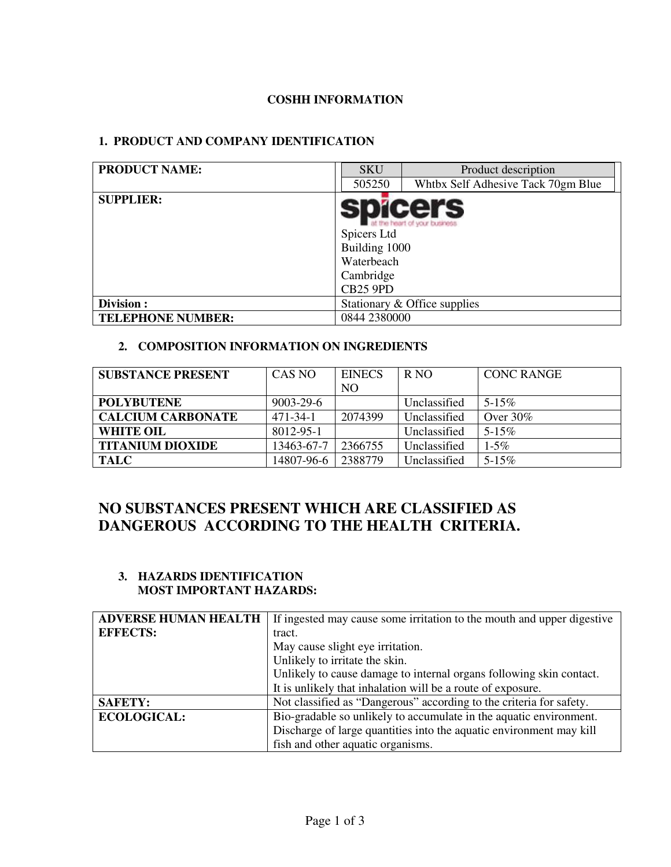# **COSHH INFORMATION**

# **1. PRODUCT AND COMPANY IDENTIFICATION**

| <b>PRODUCT NAME:</b>     | <b>SKU</b>                                                                 | Product description                             |
|--------------------------|----------------------------------------------------------------------------|-------------------------------------------------|
|                          | 505250                                                                     | Whtbx Self Adhesive Tack 70gm Blue              |
| <b>SUPPLIER:</b>         | Spicers Ltd<br>Building 1000<br>Waterbeach<br>Cambridge<br><b>CB25 9PD</b> | <b>spicers</b><br>at the heart of your business |
| Division:                |                                                                            | Stationary & Office supplies                    |
| <b>TELEPHONE NUMBER:</b> | 0844 2380000                                                               |                                                 |

### **2. COMPOSITION INFORMATION ON INGREDIENTS**

| <b>SUBSTANCE PRESENT</b> | CAS NO         | <b>EINECS</b>  | R <sub>NO</sub> | <b>CONC RANGE</b> |
|--------------------------|----------------|----------------|-----------------|-------------------|
|                          |                | N <sub>O</sub> |                 |                   |
| <b>POLYBUTENE</b>        | 9003-29-6      |                | Unclassified    | $5 - 15\%$        |
| <b>CALCIUM CARBONATE</b> | $471 - 34 - 1$ | 2074399        | Unclassified    | Over $30\%$       |
| <b>WHITE OIL</b>         | 8012-95-1      |                | Unclassified    | $5 - 15\%$        |
| <b>TITANIUM DIOXIDE</b>  | 13463-67-7     | 2366755        | Unclassified    | $1 - 5\%$         |
| <b>TALC</b>              | 14807-96-6     | 2388779        | Unclassified    | $5 - 15\%$        |

# **NO SUBSTANCES PRESENT WHICH ARE CLASSIFIED AS DANGEROUS ACCORDING TO THE HEALTH CRITERIA.**

#### **3. HAZARDS IDENTIFICATION MOST IMPORTANT HAZARDS:**

| <b>ADVERSE HUMAN HEALTH</b> | If ingested may cause some irritation to the mouth and upper digestive |
|-----------------------------|------------------------------------------------------------------------|
| <b>EFFECTS:</b>             | tract.                                                                 |
|                             | May cause slight eye irritation.                                       |
|                             | Unlikely to irritate the skin.                                         |
|                             | Unlikely to cause damage to internal organs following skin contact.    |
|                             | It is unlikely that inhalation will be a route of exposure.            |
| <b>SAFETY:</b>              | Not classified as "Dangerous" according to the criteria for safety.    |
| <b>ECOLOGICAL:</b>          | Bio-gradable so unlikely to accumulate in the aquatic environment.     |
|                             | Discharge of large quantities into the aquatic environment may kill    |
|                             | fish and other aquatic organisms.                                      |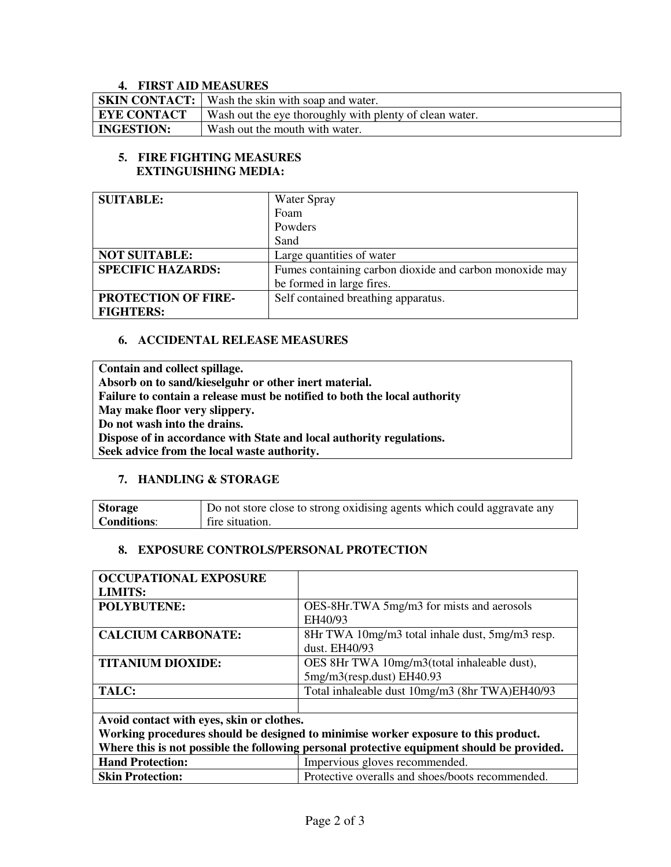#### **4. FIRST AID MEASURES**

|                    | <b>SKIN CONTACT:</b> Wash the skin with soap and water. |
|--------------------|---------------------------------------------------------|
| <b>EYE CONTACT</b> | Wash out the eye thoroughly with plenty of clean water. |
| <b>INGESTION:</b>  | Wash out the mouth with water.                          |

#### **5. FIRE FIGHTING MEASURES EXTINGUISHING MEDIA:**

| <b>SUITABLE:</b>         | <b>Water Spray</b>                                      |
|--------------------------|---------------------------------------------------------|
|                          | Foam                                                    |
|                          | Powders                                                 |
|                          | Sand                                                    |
| <b>NOT SUITABLE:</b>     | Large quantities of water                               |
| <b>SPECIFIC HAZARDS:</b> | Fumes containing carbon dioxide and carbon monoxide may |
|                          | be formed in large fires.                               |
| PROTECTION OF FIRE-      | Self contained breathing apparatus.                     |
| <b>FIGHTERS:</b>         |                                                         |

#### **6. ACCIDENTAL RELEASE MEASURES**

**Contain and collect spillage. Absorb on to sand/kieselguhr or other inert material. Failure to contain a release must be notified to both the local authority May make floor very slippery. Do not wash into the drains. Dispose of in accordance with State and local authority regulations. Seek advice from the local waste authority.** 

#### **7. HANDLING & STORAGE**

| <b>Storage</b> | $\sim$ Do not store close to strong oxidising agents which could aggravate any |
|----------------|--------------------------------------------------------------------------------|
| Conditions:    | fire situation.                                                                |

#### **8. EXPOSURE CONTROLS/PERSONAL PROTECTION**

| <b>OCCUPATIONAL EXPOSURE</b>                                                               |                                                  |  |
|--------------------------------------------------------------------------------------------|--------------------------------------------------|--|
| <b>LIMITS:</b>                                                                             |                                                  |  |
| <b>POLYBUTENE:</b>                                                                         | OES-8Hr.TWA 5mg/m3 for mists and aerosols        |  |
|                                                                                            | EH40/93                                          |  |
| <b>CALCIUM CARBONATE:</b>                                                                  | 8Hr TWA 10mg/m3 total inhale dust, 5mg/m3 resp.  |  |
|                                                                                            | dust. EH40/93                                    |  |
| <b>TITANIUM DIOXIDE:</b>                                                                   | OES 8Hr TWA 10mg/m3(total inhaleable dust),      |  |
|                                                                                            | 5mg/m3(resp.dust) EH40.93                        |  |
| TALC:                                                                                      | Total inhaleable dust 10mg/m3 (8hr TWA)EH40/93   |  |
|                                                                                            |                                                  |  |
| Avoid contact with eyes, skin or clothes.                                                  |                                                  |  |
| Working procedures should be designed to minimise worker exposure to this product.         |                                                  |  |
| Where this is not possible the following personal protective equipment should be provided. |                                                  |  |
| <b>Hand Protection:</b>                                                                    | Impervious gloves recommended.                   |  |
| <b>Skin Protection:</b>                                                                    | Protective overalls and shoes/boots recommended. |  |